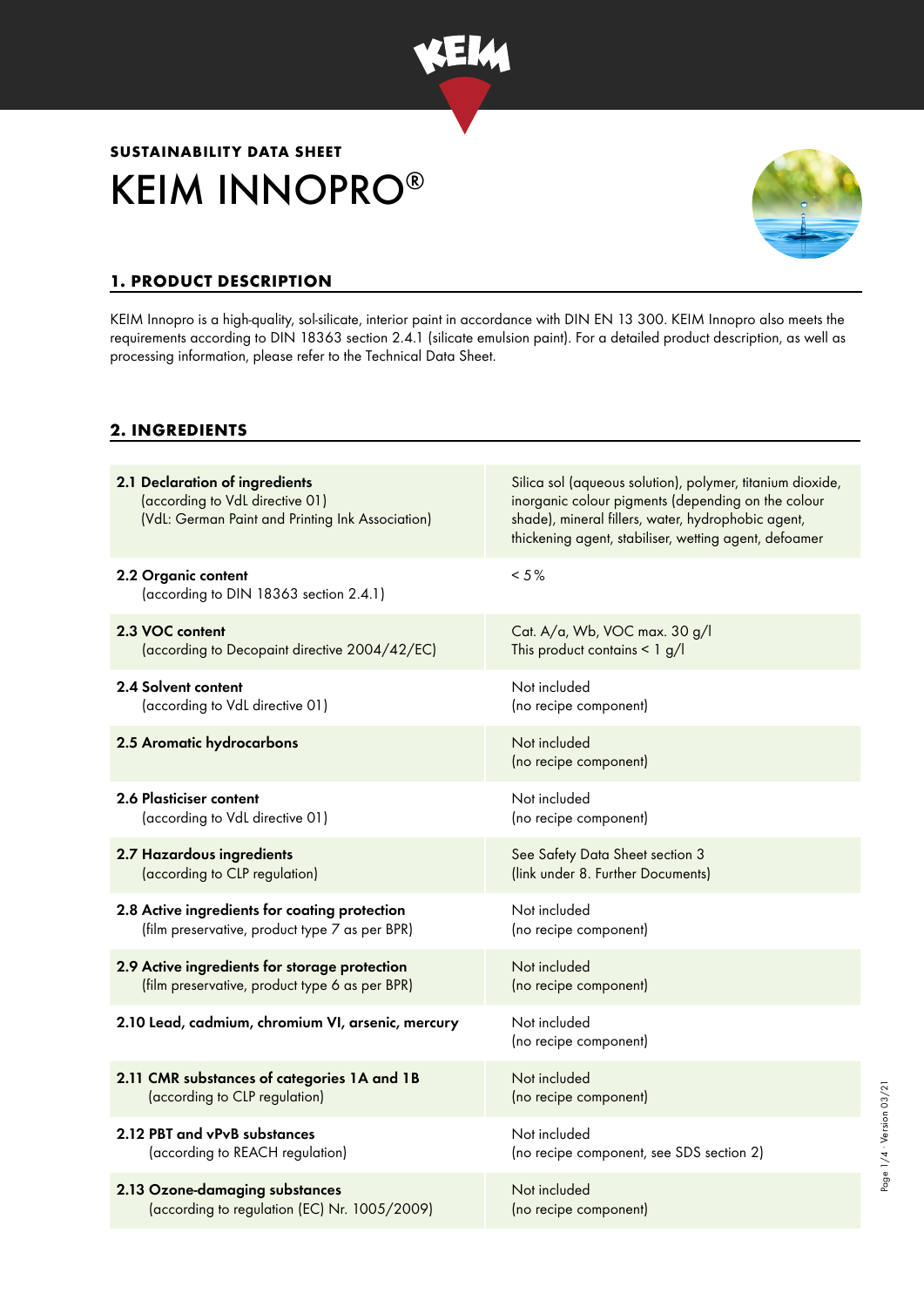

# KEIM INNOPRO® **SUSTAINABILITY DATA SHEET**



Page 1/4 · Version 03/21 Page 1/4 ∙ Version 03/21

## **1. PRODUCT DESCRIPTION**

KEIM Innopro is a high-quality, sol-silicate, interior paint in accordance with DIN EN 13 300. KEIM Innopro also meets the requirements according to DIN 18363 section 2.4.1 (silicate emulsion paint). For a detailed product description, as well as processing information, please refer to the Technical Data Sheet.

#### **2. INGREDIENTS**

| 2.1 Declaration of ingredients<br>(according to VdL directive 01)<br>(VdL: German Paint and Printing Ink Association) | Silica sol (aqueous solution), polymer, titanium dioxide,<br>inorganic colour pigments (depending on the colour<br>shade), mineral fillers, water, hydrophobic agent,<br>thickening agent, stabiliser, wetting agent, defoamer |
|-----------------------------------------------------------------------------------------------------------------------|--------------------------------------------------------------------------------------------------------------------------------------------------------------------------------------------------------------------------------|
| 2.2 Organic content<br>(according to DIN 18363 section 2.4.1)                                                         | $< 5 \%$                                                                                                                                                                                                                       |
| 2.3 VOC content                                                                                                       | Cat. A/a, Wb, VOC max. 30 g/l                                                                                                                                                                                                  |
| (according to Decopaint directive 2004/42/EC)                                                                         | This product contains $\leq 1$ g/l                                                                                                                                                                                             |
| 2.4 Solvent content                                                                                                   | Not included                                                                                                                                                                                                                   |
| (according to VdL directive 01)                                                                                       | (no recipe component)                                                                                                                                                                                                          |
| 2.5 Aromatic hydrocarbons                                                                                             | Not included<br>(no recipe component)                                                                                                                                                                                          |
| 2.6 Plasticiser content                                                                                               | Not included                                                                                                                                                                                                                   |
| (according to VdL directive 01)                                                                                       | (no recipe component)                                                                                                                                                                                                          |
| 2.7 Hazardous ingredients                                                                                             | See Safety Data Sheet section 3                                                                                                                                                                                                |
| (according to CLP regulation)                                                                                         | (link under 8. Further Documents)                                                                                                                                                                                              |
| 2.8 Active ingredients for coating protection                                                                         | Not included                                                                                                                                                                                                                   |
| (film preservative, product type 7 as per BPR)                                                                        | (no recipe component)                                                                                                                                                                                                          |
| 2.9 Active ingredients for storage protection                                                                         | Not included                                                                                                                                                                                                                   |
| (film preservative, product type 6 as per BPR)                                                                        | (no recipe component)                                                                                                                                                                                                          |
| 2.10 Lead, cadmium, chromium VI, arsenic, mercury                                                                     | Not included<br>(no recipe component)                                                                                                                                                                                          |
| 2.11 CMR substances of categories 1A and 1B                                                                           | Not included                                                                                                                                                                                                                   |
| (according to CLP regulation)                                                                                         | (no recipe component)                                                                                                                                                                                                          |
| 2.12 PBT and vPvB substances                                                                                          | Not included                                                                                                                                                                                                                   |
| (according to REACH regulation)                                                                                       | (no recipe component, see SDS section 2)                                                                                                                                                                                       |
| 2.13 Ozone-damaging substances                                                                                        | Not included                                                                                                                                                                                                                   |
| (according to regulation (EC) Nr. 1005/2009)                                                                          | (no recipe component)                                                                                                                                                                                                          |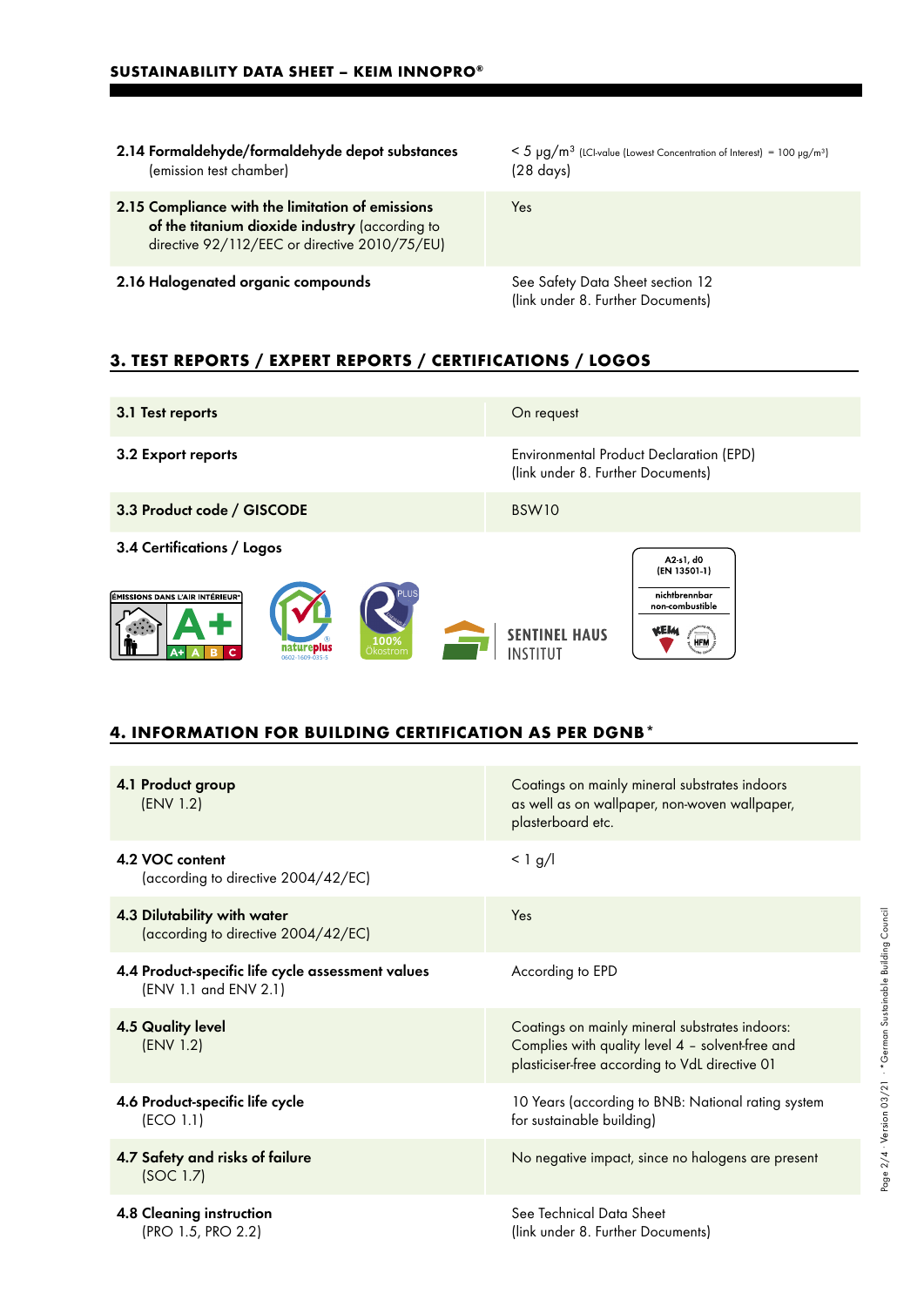- 2.14 Formaldehyde/formaldehyde depot substances (emission test chamber)
- 2.15 Compliance with the limitation of emissions of the titanium dioxide industry (according to directive 92/112/EEC or directive 2010/75/EU)
- 2.16 Halogenated organic compounds See Safety Data Sheet section 12

 $< 5 \mu g/m^3$  (LCI-value (Lowest Concentration of Interest) = 100  $\mu g/m^3$ ) (28 days)

Yes

(link under 8. Further Documents)

### **3. TEST REPORTS / EXPERT REPORTS / CERTIFICATIONS / LOGOS**

| 3.1 Test reports                                                                                                               | On request                                                                                                       |
|--------------------------------------------------------------------------------------------------------------------------------|------------------------------------------------------------------------------------------------------------------|
| 3.2 Export reports                                                                                                             | <b>Environmental Product Declaration (EPD)</b><br>(link under 8. Further Documents)                              |
| 3.3 Product code / GISCODE                                                                                                     | BSW10                                                                                                            |
| 3.4 Certifications / Logos<br>ÉMISSIONS DANS L'AIR INTÉRIEUR <sup>®</sup><br>100%<br>natureplus<br>Okostrom<br>0602-1609-035-5 | A2 s1, d0<br>(EN 13501-1)<br>nichtbrennbar<br>non combustible<br><b>SENTINEL HAUS</b><br><b>HFM</b><br>INSTITIIT |

#### **4. INFORMATION FOR BUILDING CERTIFICATION AS PER DGNB\***

| 4.1 Product group<br>(ENV 1.2)                                             | Coatings on mainly mineral substrates indoors<br>as well as on wallpaper, non-woven wallpaper,<br>plasterboard etc.                                  |
|----------------------------------------------------------------------------|------------------------------------------------------------------------------------------------------------------------------------------------------|
| 4.2 VOC content<br>(according to directive 2004/42/EC)                     | $< 1$ g/l                                                                                                                                            |
| 4.3 Dilutability with water<br>(according to directive 2004/42/EC)         | Yes                                                                                                                                                  |
| 4.4 Product-specific life cycle assessment values<br>(ENV 1.1 and ENV 2.1) | According to EPD                                                                                                                                     |
| <b>4.5 Quality level</b><br>(ENV 1.2)                                      | Coatings on mainly mineral substrates indoors:<br>Complies with quality level 4 - solvent-free and<br>plasticiser-free according to VdL directive 01 |
| 4.6 Product-specific life cycle<br>(ECO 1.1)                               | 10 Years (according to BNB: National rating system<br>for sustainable building)                                                                      |
| 4.7 Safety and risks of failure<br>(SOC 1.7)                               | No negative impact, since no halogens are present                                                                                                    |
| 4.8 Cleaning instruction<br>(PRO 1.5, PRO 2.2)                             | See Technical Data Sheet<br>(link under 8. Further Documents)                                                                                        |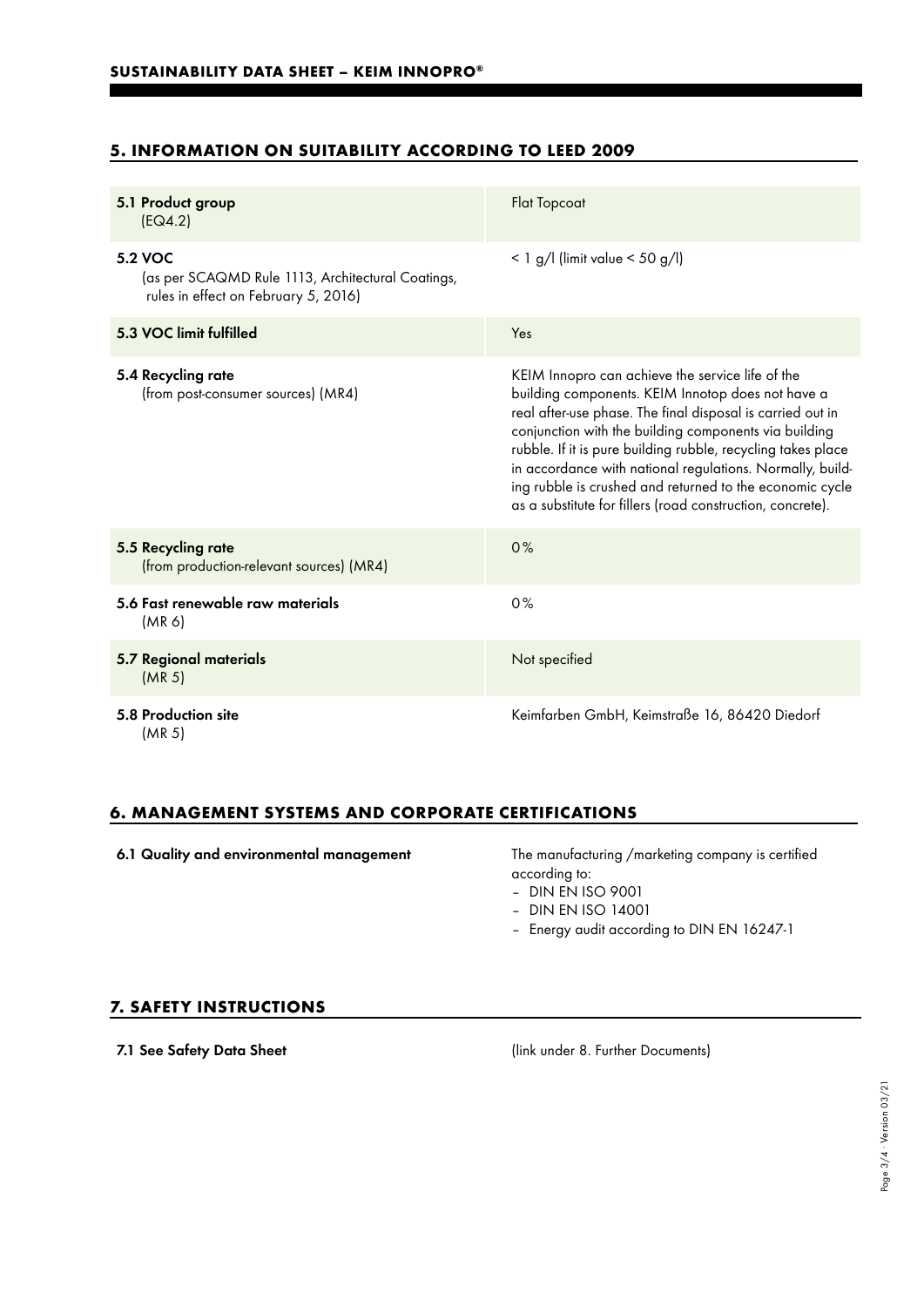# **5. INFORMATION ON SUITABILITY ACCORDING TO LEED 2009**

| 5.1 Product group<br>[EQ4.2]                                                                         | <b>Flat Topcoat</b>                                                                                                                                                                                                                                                                                                                                                                                                                                                                 |
|------------------------------------------------------------------------------------------------------|-------------------------------------------------------------------------------------------------------------------------------------------------------------------------------------------------------------------------------------------------------------------------------------------------------------------------------------------------------------------------------------------------------------------------------------------------------------------------------------|
| 5.2 VOC<br>(as per SCAQMD Rule 1113, Architectural Coatings,<br>rules in effect on February 5, 2016) | $< 1$ g/l (limit value $< 50$ g/l)                                                                                                                                                                                                                                                                                                                                                                                                                                                  |
| 5.3 VOC limit fulfilled                                                                              | Yes                                                                                                                                                                                                                                                                                                                                                                                                                                                                                 |
| 5.4 Recycling rate<br>(from post-consumer sources) (MR4)                                             | KEIM Innopro can achieve the service life of the<br>building components. KEIM Innotop does not have a<br>real after-use phase. The final disposal is carried out in<br>conjunction with the building components via building<br>rubble. If it is pure building rubble, recycling takes place<br>in accordance with national regulations. Normally, build-<br>ing rubble is crushed and returned to the economic cycle<br>as a substitute for fillers (road construction, concrete). |
| 5.5 Recycling rate<br>(from production-relevant sources) (MR4)                                       | 0%                                                                                                                                                                                                                                                                                                                                                                                                                                                                                  |
| 5.6 Fast renewable raw materials<br>(MR <sub>6</sub> )                                               | 0%                                                                                                                                                                                                                                                                                                                                                                                                                                                                                  |
| 5.7 Regional materials<br>(MR <sub>5</sub> )                                                         | Not specified                                                                                                                                                                                                                                                                                                                                                                                                                                                                       |
| 5.8 Production site<br>(MR <sub>5</sub> )                                                            | Keimfarben GmbH, Keimstraße 16, 86420 Diedorf                                                                                                                                                                                                                                                                                                                                                                                                                                       |

#### **6. MANAGEMENT SYSTEMS AND CORPORATE CERTIFICATIONS**

6.1 Quality and environmental management The manufacturing /marketing company is certified

according to:

– DIN EN ISO 9001

- DIN EN ISO 14001
- Energy audit according to DIN EN 16247-1

#### **7. SAFETY INSTRUCTIONS**

7.1 See Safety Data Sheet (link under 8. Further Documents)